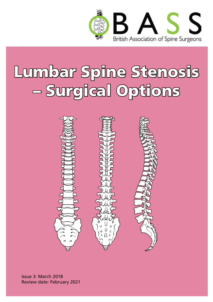

# Lumbar Spine Stenosis – Surgical Options



Issue 3: March 2018 Review date: February 2021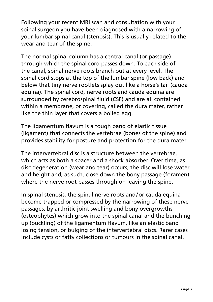Following your recent MRI scan and consultation with your spinal surgeon you have been diagnosed with a narrowing of your lumbar spinal canal (stenosis). This is usually related to the wear and tear of the spine.

The normal spinal column has a central canal (or passage) through which the spinal cord passes down. To each side of the canal, spinal nerve roots branch out at every level. The spinal cord stops at the top of the lumbar spine (low back) and below that tiny nerve rootlets splay out like a horse's tail (cauda equina). The spinal cord, nerve roots and cauda equina are surrounded by cerebrospinal fluid (CSF) and are all contained within a membrane, or covering, called the dura mater, rather like the thin layer that covers a boiled egg.

The ligamentum flavum is a tough band of elastic tissue (ligament) that connects the vertebrae (bones of the spine) and provides stability for posture and protection for the dura mater.

The intervertebral disc is a structure between the vertebrae, which acts as both a spacer and a shock absorber. Over time, as disc degeneration (wear and tear) occurs, the disc will lose water and height and, as such, close down the bony passage (foramen) where the nerve root passes through on leaving the spine.

In spinal stenosis, the spinal nerve roots and/or cauda equina become trapped or compressed by the narrowing of these nerve passages, by arthritic joint swelling and bony overgrowths (osteophytes) which grow into the spinal canal and the bunching up (buckling) of the ligamentum flavum, like an elastic band losing tension, or bulging of the intervertebral discs. Rarer cases include cysts or fatty collections or tumours in the spinal canal.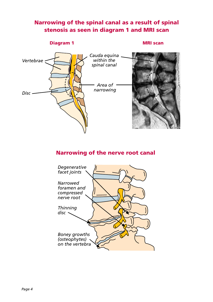#### Narrowing of the spinal canal as a result of spinal stenosis as seen in diagram 1 and MRI scan

#### **Diagram 1 MRI scan**



#### Narrowing of the nerve root canal

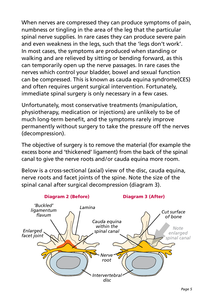When nerves are compressed they can produce symptoms of pain, numbness or tingling in the area of the leg that the particular spinal nerve supplies. In rare cases they can produce severe pain and even weakness in the legs, such that the 'legs don't work'. In most cases, the symptoms are produced when standing or walking and are relieved by sitting or bending forward, as this can temporarily open up the nerve passages. In rare cases the nerves which control your bladder, bowel and sexual function can be compressed. This is known as cauda equina syndrome(CES) and often requires urgent surgical intervention. Fortunately, immediate spinal surgery is only necessary in a few cases.

Unfortunately, most conservative treatments (manipulation, physiotherapy, medication or injections) are unlikely to be of much long-term benefit, and the symptoms rarely improve permanently without surgery to take the pressure off the nerves (decompression).

The objective of surgery is to remove the material (for example the excess bone and 'thickened' ligament) from the back of the spinal canal to give the nerve roots and/or cauda equina more room.

Below is a cross-sectional (axial) view of the disc, cauda equina, nerve roots and facet joints of the spine. Note the size of the spinal canal after surgical decompression (diagram 3).

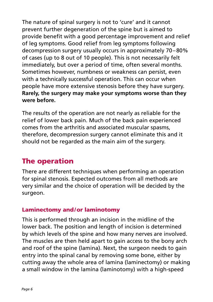The nature of spinal surgery is not to 'cure' and it cannot prevent further degeneration of the spine but is aimed to provide benefit with a good percentage improvement and relief of leg symptoms. Good relief from leg symptoms following decompression surgery usually occurs in approximately 70–80% of cases (up to 8 out of 10 people). This is not necessarily felt immediately, but over a period of time, often several months. Sometimes however, numbness or weakness can persist, even with a technically successful operation. This can occur when people have more extensive stenosis before they have surgery. **Rarely, the surgery may make your symptoms worse than they were before.** 

The results of the operation are not nearly as reliable for the relief of lower back pain. Much of the back pain experienced comes from the arthritis and associated muscular spasms, therefore, decompression surgery cannot eliminate this and it should not be regarded as the main aim of the surgery.

# The operation

There are different techniques when performing an operation for spinal stenosis. Expected outcomes from all methods are very similar and the choice of operation will be decided by the surgeon.

#### Laminectomy and/or laminotomy

This is performed through an incision in the midline of the lower back. The position and length of incision is determined by which levels of the spine and how many nerves are involved. The muscles are then held apart to gain access to the bony arch and roof of the spine (lamina). Next, the surgeon needs to gain entry into the spinal canal by removing some bone, either by cutting away the whole area of lamina (laminectomy) or making a small window in the lamina (laminotomy) with a high-speed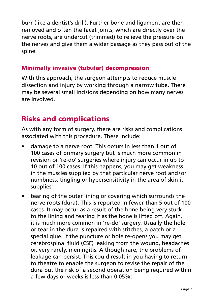burr (like a dentist's drill). Further bone and ligament are then removed and often the facet joints, which are directly over the nerve roots, are undercut (trimmed) to relieve the pressure on the nerves and give them a wider passage as they pass out of the spine.

#### Minimally invasive (tubular) decompression

With this approach, the surgeon attempts to reduce muscle dissection and injury by working through a narrow tube. There may be several small incisions depending on how many nerves are involved.

### Risks and complications

As with any form of surgery, there are risks and complications associated with this procedure. These include:

- damage to a nerve root. This occurs in less than 1 out of 100 cases of primary surgery but is much more common in revision or 're-do' surgeries where injury can occur in up to 10 out of 100 cases. If this happens, you may get weakness in the muscles supplied by that particular nerve root and/or numbness, tingling or hypersensitivity in the area of skin it supplies;
- tearing of the outer lining or covering which surrounds the nerve roots (dura). This is reported in fewer than 5 out of 100 cases. It may occur as a result of the bone being very stuck to the lining and tearing it as the bone is lifted off. Again, it is much more common in 're-do' surgery. Usually the hole or tear in the dura is repaired with stitches, a patch or a special glue. If the puncture or hole re-opens you may get cerebrospinal fluid (CSF) leaking from the wound, headaches or, very rarely, meningitis. Although rare, the problems of leakage can persist. This could result in you having to return to theatre to enable the surgeon to revise the repair of the dura but the risk of a second operation being required within a few days or weeks is less than 0.05%;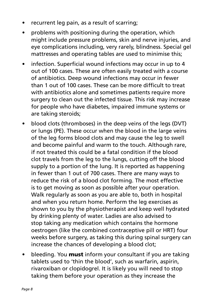- recurrent leg pain, as a result of scarring;
- problems with positioning during the operation, which might include pressure problems, skin and nerve injuries, and eye complications including, very rarely, blindness. Special gel mattresses and operating tables are used to minimise this;
- infection. Superficial wound infections may occur in up to 4 out of 100 cases. These are often easily treated with a course of antibiotics. Deep wound infections may occur in fewer than 1 out of 100 cases. These can be more difficult to treat with antibiotics alone and sometimes patients require more surgery to clean out the infected tissue. This risk may increase for people who have diabetes, impaired immune systems or are taking steroids;
- blood clots (thromboses) in the deep veins of the legs (DVT) or lungs (PE). These occur when the blood in the large veins of the leg forms blood clots and may cause the leg to swell and become painful and warm to the touch. Although rare, if not treated this could be a fatal condition if the blood clot travels from the leg to the lungs, cutting off the blood supply to a portion of the lung. It is reported as happening in fewer than 1 out of 700 cases. There are many ways to reduce the risk of a blood clot forming. The most effective is to get moving as soon as possible after your operation. Walk regularly as soon as you are able to, both in hospital and when you return home. Perform the leg exercises as shown to you by the physiotherapist and keep well hydrated by drinking plenty of water. Ladies are also advised to stop taking any medication which contains the hormone oestrogen (like the combined contraceptive pill or HRT) four weeks before surgery, as taking this during spinal surgery can increase the chances of developing a blood clot;
- bleeding. You **must** inform your consultant if you are taking tablets used to 'thin the blood', such as warfarin, aspirin, rivaroxiban or clopidogrel. It is likely you will need to stop taking them before your operation as they increase the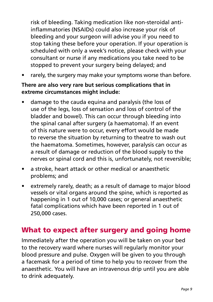risk of bleeding. Taking medication like non-steroidal antiinflammatories (NSAIDs) could also increase your risk of bleeding and your surgeon will advise you if you need to stop taking these before your operation. If your operation is scheduled with only a week's notice, please check with your consultant or nurse if any medications you take need to be stopped to prevent your surgery being delayed; and

rarely, the surgery may make your symptoms worse than before.

#### **There are also very rare but serious complications that in extreme circumstances might include:**

- damage to the cauda equina and paralysis (the loss of use of the legs, loss of sensation and loss of control of the bladder and bowel). This can occur through bleeding into the spinal canal after surgery (a haematoma). If an event of this nature were to occur, every effort would be made to reverse the situation by returning to theatre to wash out the haematoma. Sometimes, however, paralysis can occur as a result of damage or reduction of the blood supply to the nerves or spinal cord and this is, unfortunately, not reversible;
- a stroke, heart attack or other medical or anaesthetic problems; and
- extremely rarely, death; as a result of damage to major blood vessels or vital organs around the spine, which is reported as happening in 1 out of 10,000 cases; or general anaesthetic fatal complications which have been reported in 1 out of 250,000 cases.

#### What to expect after surgery and going home

Immediately after the operation you will be taken on your bed to the recovery ward where nurses will regularly monitor your blood pressure and pulse. Oxygen will be given to you through a facemask for a period of time to help you to recover from the anaesthetic. You will have an intravenous drip until you are able to drink adequately.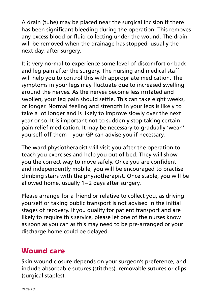A drain (tube) may be placed near the surgical incision if there has been significant bleeding during the operation. This removes any excess blood or fluid collecting under the wound. The drain will be removed when the drainage has stopped, usually the next day, after surgery.

It is very normal to experience some level of discomfort or back and leg pain after the surgery. The nursing and medical staff will help you to control this with appropriate medication. The symptoms in your legs may fluctuate due to increased swelling around the nerves. As the nerves become less irritated and swollen, your leg pain should settle. This can take eight weeks, or longer. Normal feeling and strength in your legs is likely to take a lot longer and is likely to improve slowly over the next year or so. It is important not to suddenly stop taking certain pain relief medication. It may be necessary to gradually 'wean' yourself off them – your GP can advise you if necessary.

The ward physiotherapist will visit you after the operation to teach you exercises and help you out of bed. They will show you the correct way to move safely. Once you are confident and independently mobile, you will be encouraged to practise climbing stairs with the physiotherapist. Once stable, you will be allowed home, usually 1–2 days after surgery.

Please arrange for a friend or relative to collect you, as driving yourself or taking public transport is not advised in the initial stages of recovery. If you qualify for patient transport and are likely to require this service, please let one of the nurses know as soon as you can as this may need to be pre-arranged or your discharge home could be delayed.

### Wound care

Skin wound closure depends on your surgeon's preference, and include absorbable sutures (stitches), removable sutures or clips (surgical staples).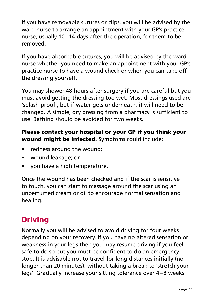If you have removable sutures or clips, you will be advised by the ward nurse to arrange an appointment with your GP's practice nurse, usually 10–14 days after the operation, for them to be removed.

If you have absorbable sutures, you will be advised by the ward nurse whether you need to make an appointment with your GP's practice nurse to have a wound check or when you can take off the dressing yourself.

You may shower 48 hours after surgery if you are careful but you must avoid getting the dressing too wet. Most dressings used are 'splash-proof', but if water gets underneath, it will need to be changed. A simple, dry dressing from a pharmacy is sufficient to use. Bathing should be avoided for two weeks.

#### Please contact your hospital or your GP if you think your wound might be infected. Symptoms could include:

- redness around the wound:
- • wound leakage; or
- you have a high temperature.

Once the wound has been checked and if the scar is sensitive to touch, you can start to massage around the scar using an unperfumed cream or oil to encourage normal sensation and healing.

# Driving

Normally you will be advised to avoid driving for four weeks depending on your recovery. If you have no altered sensation or weakness in your legs then you may resume driving if you feel safe to do so but you must be confident to do an emergency stop. It is advisable not to travel for long distances initially (no longer than 20 minutes), without taking a break to 'stretch your legs'. Gradually increase your sitting tolerance over 4–8 weeks.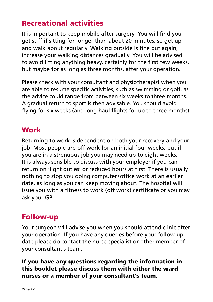# Recreational activities

It is important to keep mobile after surgery. You will find you get stiff if sitting for longer than about 20 minutes, so get up and walk about regularly. Walking outside is fine but again, increase your walking distances gradually. You will be advised to avoid lifting anything heavy, certainly for the first few weeks, but maybe for as long as three months, after your operation.

Please check with your consultant and physiotherapist when you are able to resume specific activities, such as swimming or golf, as the advice could range from between six weeks to three months. A gradual return to sport is then advisable. You should avoid flying for six weeks (and long-haul flights for up to three months).

#### **Work**

Returning to work is dependent on both your recovery and your job. Most people are off work for an initial four weeks, but if you are in a strenuous job you may need up to eight weeks. It is always sensible to discuss with your employer if you can return on 'light duties' or reduced hours at first. There is usually nothing to stop you doing computer/office work at an earlier date, as long as you can keep moving about. The hospital will issue you with a fitness to work (off work) certificate or you may ask your GP.

### Follow-up

Your surgeon will advise you when you should attend clinic after your operation. If you have any queries before your follow-up date please do contact the nurse specialist or other member of your consultant's team.

#### If you have any questions regarding the information in this booklet please discuss them with either the ward nurses or a member of your consultant's team.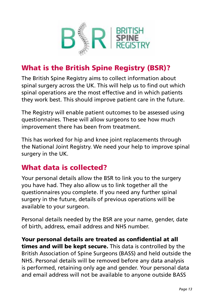

# What is the British Spine Registry (BSR)?

The British Spine Registry aims to collect information about spinal surgery across the UK. This will help us to find out which spinal operations are the most effective and in which patients they work best. This should improve patient care in the future.

The Registry will enable patient outcomes to be assessed using questionnaires. These will allow surgeons to see how much improvement there has been from treatment.

This has worked for hip and knee joint replacements through the National Joint Registry. We need your help to improve spinal surgery in the UK.

# What data is collected?

Your personal details allow the BSR to link you to the surgery you have had. They also allow us to link together all the questionnaires you complete. If you need any further spinal surgery in the future, details of previous operations will be available to your surgeon.

Personal details needed by the BSR are your name, gender, date of birth, address, email address and NHS number.

Your personal details are treated as confidential at all times and will be kept secure. This data is controlled by the British Association of Spine Surgeons (BASS) and held outside the NHS. Personal details will be removed before any data analysis is performed, retaining only age and gender. Your personal data and email address will not be available to anyone outside BASS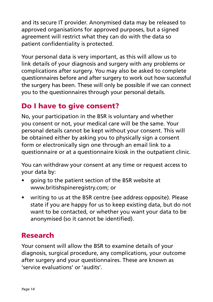and its secure IT provider. Anonymised data may be released to approved organisations for approved purposes, but a signed agreement will restrict what they can do with the data so patient confidentiality is protected.

Your personal data is very important, as this will allow us to link details of your diagnosis and surgery with any problems or complications after surgery. You may also be asked to complete questionnaires before and after surgery to work out how successful the surgery has been. These will only be possible if we can connect you to the questionnaires through your personal details.

## Do I have to give consent?

No, your participation in the BSR is voluntary and whether you consent or not, your medical care will be the same. Your personal details cannot be kept without your consent. This will be obtained either by asking you to physically sign a consent form or electronically sign one through an email link to a questionnaire or at a questionnaire kiosk in the outpatient clinic.

You can withdraw your consent at any time or request access to your data by:

- going to the patient section of the BSR website at www.britishspineregistry.com; or
- writing to us at the BSR centre (see address opposite). Please state if you are happy for us to keep existing data, but do not want to be contacted, or whether you want your data to be anonymised (so it cannot be identified).

### Research

Your consent will allow the BSR to examine details of your diagnosis, surgical procedure, any complications, your outcome after surgery and your questionnaires. These are known as 'service evaluations' or 'audits'.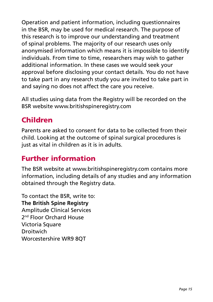Operation and patient information, including questionnaires in the BSR, may be used for medical research. The purpose of this research is to improve our understanding and treatment of spinal problems. The majority of our research uses only anonymised information which means it is impossible to identify individuals. From time to time, researchers may wish to gather additional information. In these cases we would seek your approval before disclosing your contact details. You do not have to take part in any research study you are invited to take part in and saying no does not affect the care you receive.

All studies using data from the Registry will be recorded on the BSR website www.britishspineregistry.com

# Children

Parents are asked to consent for data to be collected from their child. Looking at the outcome of spinal surgical procedures is just as vital in children as it is in adults.

# Further information

The BSR website at www.britishspineregistry.com contains more information, including details of any studies and any information obtained through the Registry data.

To contact the BSR, write to: **The British Spine Registry** Amplitude Clinical Services 2<sup>nd</sup> Floor Orchard House Victoria Square **Droitwich** Worcestershire WR9 8QT